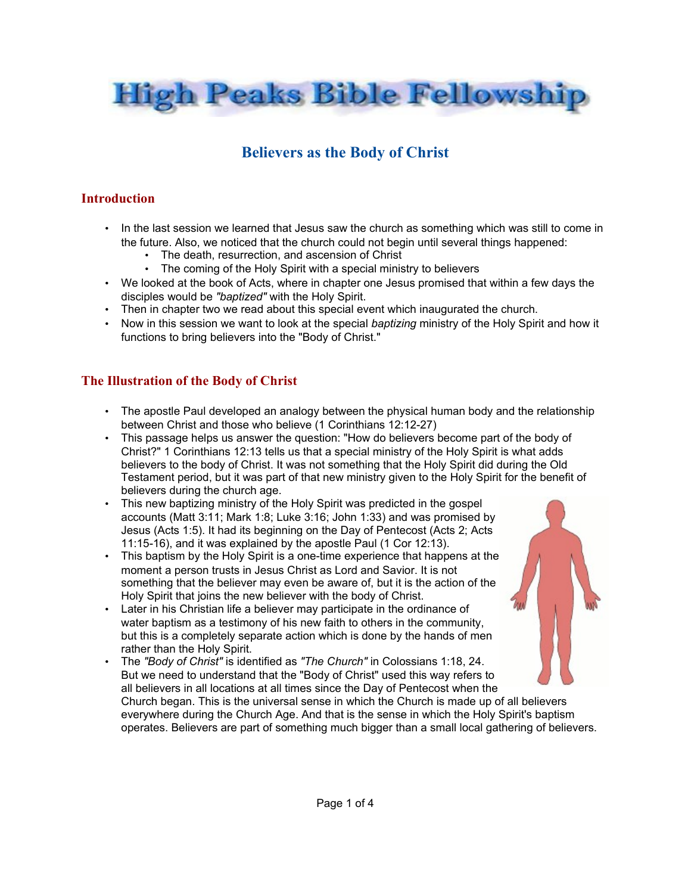

# **Believers as the Body of Christ**

### **Introduction**

- In the last session we learned that Jesus saw the church as something which was still to come in the future. Also, we noticed that the church could not begin until several things happened:
	- The death, resurrection, and ascension of Christ
	- The coming of the Holy Spirit with a special ministry to believers
- We looked at the book of Acts, where in chapter one Jesus promised that within a few days the disciples would be *"baptized"* with the Holy Spirit.
- Then in chapter two we read about this special event which inaugurated the church.
- Now in this session we want to look at the special *baptizing* ministry of the Holy Spirit and how it functions to bring believers into the "Body of Christ."

### **The Illustration of the Body of Christ**

- The apostle Paul developed an analogy between the physical human body and the relationship between Christ and those who believe (1 Corinthians 12:12-27)
- This passage helps us answer the question: "How do believers become part of the body of Christ?" 1 Corinthians 12:13 tells us that a special ministry of the Holy Spirit is what adds believers to the body of Christ. It was not something that the Holy Spirit did during the Old Testament period, but it was part of that new ministry given to the Holy Spirit for the benefit of believers during the church age.
- This new baptizing ministry of the Holy Spirit was predicted in the gospel accounts (Matt 3:11; Mark 1:8; Luke 3:16; John 1:33) and was promised by Jesus (Acts 1:5). It had its beginning on the Day of Pentecost (Acts 2; Acts 11:15-16), and it was explained by the apostle Paul (1 Cor 12:13).
- This baptism by the Holy Spirit is a one-time experience that happens at the moment a person trusts in Jesus Christ as Lord and Savior. It is not something that the believer may even be aware of, but it is the action of the Holy Spirit that joins the new believer with the body of Christ.
- Later in his Christian life a believer may participate in the ordinance of water baptism as a testimony of his new faith to others in the community, but this is a completely separate action which is done by the hands of men rather than the Holy Spirit.
- The *"Body of Christ"* is identified as *"The Church"* in Colossians 1:18, 24. But we need to understand that the "Body of Christ" used this way refers to all believers in all locations at all times since the Day of Pentecost when the Church began. This is the universal sense in which the Church is made up of all believers everywhere during the Church Age. And that is the sense in which the Holy Spirit's baptism operates. Believers are part of something much bigger than a small local gathering of believers.

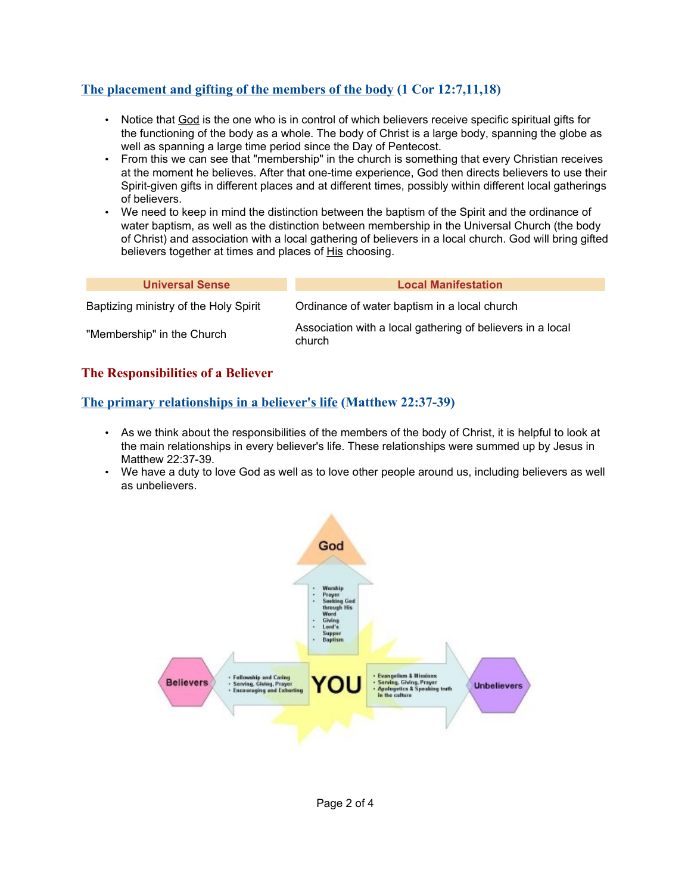### **The placement and gifting of the members of the body (1 Cor 12:7,11,18)**

- Notice that God is the one who is in control of which believers receive specific spiritual gifts for the functioning of the body as a whole. The body of Christ is a large body, spanning the globe as well as spanning a large time period since the Day of Pentecost.
- From this we can see that "membership" in the church is something that every Christian receives at the moment he believes. After that one-time experience, God then directs believers to use their Spirit-given gifts in different places and at different times, possibly within different local gatherings of believers.
- We need to keep in mind the distinction between the baptism of the Spirit and the ordinance of water baptism, as well as the distinction between membership in the Universal Church (the body of Christ) and association with a local gathering of believers in a local church. God will bring gifted believers together at times and places of His choosing.

| <b>Universal Sense</b>                | <b>Local Manifestation</b>                                           |
|---------------------------------------|----------------------------------------------------------------------|
| Baptizing ministry of the Holy Spirit | Ordinance of water baptism in a local church                         |
| "Membership" in the Church            | Association with a local gathering of believers in a local<br>church |

#### **The Responsibilities of a Believer**

### **The primary relationships in a believer's life (Matthew 22:37-39)**

- As we think about the responsibilities of the members of the body of Christ, it is helpful to look at the main relationships in every believer's life. These relationships were summed up by Jesus in Matthew 22:37-39.
- We have a duty to love God as well as to love other people around us, including believers as well as unbelievers.

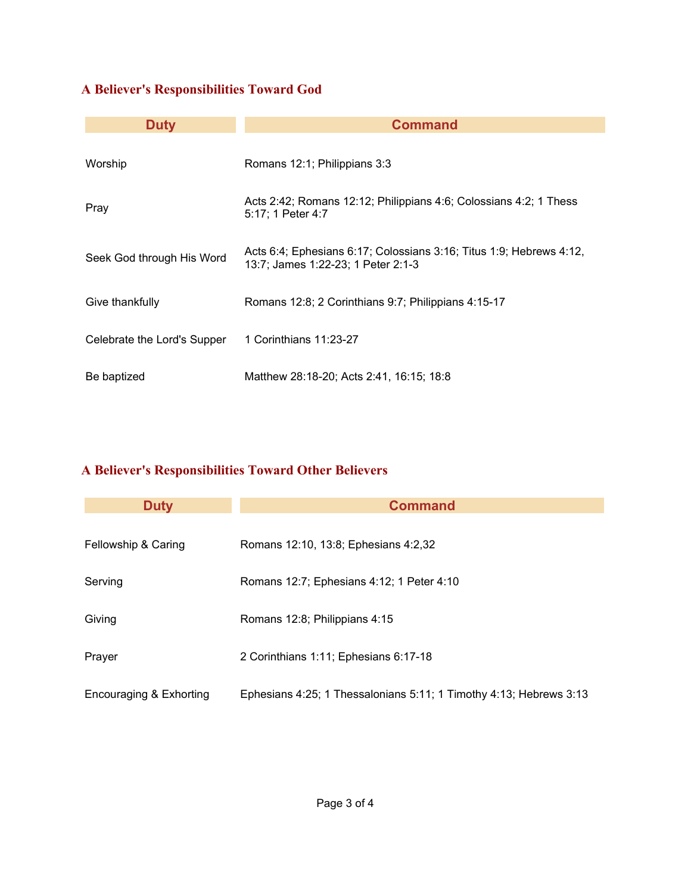## **A Believer's Responsibilities Toward God**

| <b>Duty</b>                 | <b>Command</b>                                                                                            |
|-----------------------------|-----------------------------------------------------------------------------------------------------------|
| Worship                     | Romans 12:1; Philippians 3:3                                                                              |
| Pray                        | Acts 2:42; Romans 12:12; Philippians 4:6; Colossians 4:2; 1 Thess<br>5:17; 1 Peter 4:7                    |
| Seek God through His Word   | Acts 6:4; Ephesians 6:17; Colossians 3:16; Titus 1:9; Hebrews 4:12,<br>13:7; James 1:22-23; 1 Peter 2:1-3 |
| Give thankfully             | Romans 12:8; 2 Corinthians 9:7; Philippians 4:15-17                                                       |
| Celebrate the Lord's Supper | 1 Corinthians 11:23-27                                                                                    |
| Be baptized                 | Matthew 28:18-20; Acts 2:41, 16:15; 18:8                                                                  |

## **A Believer's Responsibilities Toward Other Believers**

| <b>Duty</b>             | <b>Command</b>                                                     |
|-------------------------|--------------------------------------------------------------------|
| Fellowship & Caring     | Romans 12:10, 13:8; Ephesians 4:2,32                               |
| Serving                 | Romans 12:7; Ephesians 4:12; 1 Peter 4:10                          |
| Giving                  | Romans 12:8; Philippians 4:15                                      |
| Prayer                  | 2 Corinthians 1:11; Ephesians 6:17-18                              |
| Encouraging & Exhorting | Ephesians 4:25; 1 Thessalonians 5:11; 1 Timothy 4:13; Hebrews 3:13 |